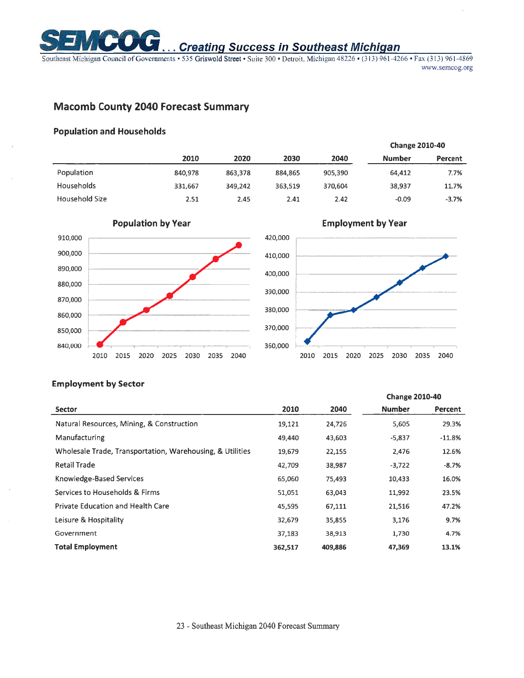

# **Creating Success in Southeast Michigan**

Southeast Michigan Council of Governments - 535 Griswold Street · Suite 300 · Detroit, Michigan 48226 · (313) 961-4266 · Fax (313) 961-4869 www.semcog.org

## **Macomb County 2040 Forecast Summary**

#### **Population and Households**

|                   |         |         |         |         |               | <b>Change 2010-40</b> |  |  |
|-------------------|---------|---------|---------|---------|---------------|-----------------------|--|--|
|                   | 2010    | 2020    | 2030    | 2040    | <b>Number</b> | Percent               |  |  |
| Population        | 840,978 | 863,378 | 884,865 | 905,390 | 64,412        | 7.7%                  |  |  |
| <b>Households</b> | 331,667 | 349.242 | 363,519 | 370.604 | 38,937        | 11.7%                 |  |  |
| Household Size    | 2.51    | 2.45    | 2.41    | 2.42    | $-0.09$       | $-3.7%$               |  |  |



### **Employment by Sector**

|                                                           |         |         | <b>Change 2010-40</b> |          |  |
|-----------------------------------------------------------|---------|---------|-----------------------|----------|--|
| <b>Sector</b>                                             | 2010    | 2040    | <b>Number</b>         | Percent  |  |
| Natural Resources, Mining, & Construction                 | 19,121  | 24,726  | 5,605                 | 29.3%    |  |
| Manufacturing                                             | 49,440  | 43,603  | $-5,837$              | $-11.8%$ |  |
| Wholesale Trade, Transportation, Warehousing, & Utilities | 19,679  | 22,155  | 2,476                 | 12.6%    |  |
| <b>Retail Trade</b>                                       | 42,709  | 38,987  | $-3,722$              | $-8.7%$  |  |
| Knowledge-Based Services                                  | 65,060  | 75,493  | 10,433                | 16.0%    |  |
| Services to Households & Firms                            | 51,051  | 63,043  | 11,992                | 23.5%    |  |
| <b>Private Education and Health Care</b>                  | 45,595  | 67,111  | 21,516                | 47.2%    |  |
| Leisure & Hospitality                                     | 32,679  | 35,855  | 3,176                 | 9.7%     |  |
| Government                                                | 37,183  | 38,913  | 1,730                 | 4.7%     |  |
| <b>Total Employment</b>                                   | 362,517 | 409,886 | 47,369                | 13.1%    |  |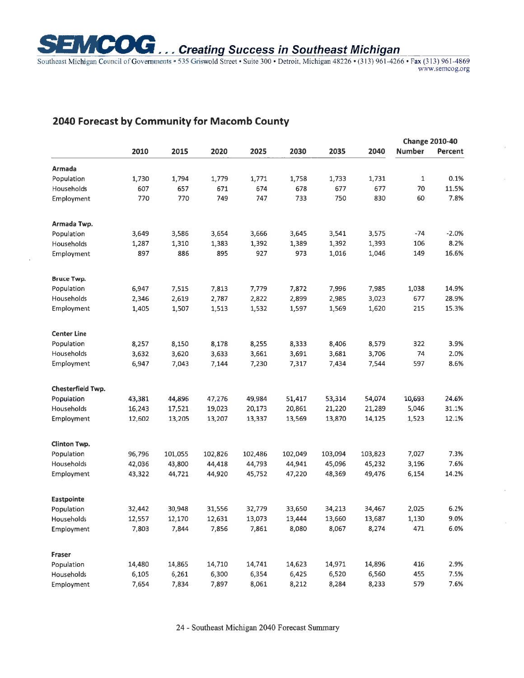

Southeast Michigan Council of Governments . 535 Griswold Street . Suite 300 . Detroit, Michigan 48226 . (313) 961-4266 . Fax (313) 961-4869 www.semcog.org

# **2040 Forecast by Community for Macomb County**

|                     |        |         |         |         |         |         |         | <b>Change 2010-40</b> |         |  |
|---------------------|--------|---------|---------|---------|---------|---------|---------|-----------------------|---------|--|
|                     | 2010   | 2015    | 2020    | 2025    | 2030    | 2035    | 2040    | <b>Number</b>         | Percent |  |
| Armada              |        |         |         |         |         |         |         |                       |         |  |
| Population          | 1,730  | 1,794   | 1,779   | 1,771   | 1,758   | 1,733   | 1,731   | 1                     | 0.1%    |  |
| Households          | 607    | 657     | 671     | 674     | 678     | 677     | 677     | 70                    | 11.5%   |  |
| Employment          | 770    | 770     | 749     | 747     | 733     | 750     | 830     | 60                    | 7.8%    |  |
| Armada Twp.         |        |         |         |         |         |         |         |                       |         |  |
| Population          | 3,649  | 3,586   | 3,654   | 3,666   | 3,645   | 3,541   | 3,575   | $-74$                 | $-2.0%$ |  |
| Households          | 1,287  | 1,310   | 1,383   | 1,392   | 1,389   | 1,392   | 1,393   | 106                   | 8.2%    |  |
| Employment          | 897    | 886     | 895     | 927     | 973     | 1,016   | 1,046   | 149                   | 16.6%   |  |
| <b>Bruce Twp.</b>   |        |         |         |         |         |         |         |                       |         |  |
| Population          | 6,947  | 7,515   | 7,813   | 7,779   | 7,872   | 7,996   | 7,985   | 1,038                 | 14.9%   |  |
| Households          | 2,346  | 2,619   | 2,787   | 2,822   | 2,899   | 2,985   | 3,023   | 677                   | 28.9%   |  |
| Employment          | 1,405  | 1,507   | 1,513   | 1,532   | 1,597   | 1,569   | 1,620   | 215                   | 15.3%   |  |
| <b>Center Line</b>  |        |         |         |         |         |         |         |                       |         |  |
| Population          | 8,257  | 8,150   | 8,178   | 8,255   | 8,333   | 8,406   | 8,579   | 322                   | 3.9%    |  |
| Households          | 3,632  | 3,620   | 3,633   | 3,661   | 3,691   | 3,681   | 3,706   | 74                    | 2.0%    |  |
| Employment          | 6,947  | 7,043   | 7,144   | 7,230   | 7,317   | 7,434   | 7,544   | 597                   | 8.6%    |  |
| Chesterfield Twp.   |        |         |         |         |         |         |         |                       |         |  |
| Population          | 43,381 | 44,896  | 47,276  | 49,984  | 51,417  | 53,314  | 54,074  | 10,693                | 24.6%   |  |
| Households          | 16,243 | 17,521  | 19,023  | 20,173  | 20,861  | 21,220  | 21,289  | 5,046                 | 31.1%   |  |
| Employment          | 12,602 | 13,205  | 13,207  | 13,337  | 13,569  | 13,870  | 14,125  | 1,523                 | 12.1%   |  |
| <b>Clinton Twp.</b> |        |         |         |         |         |         |         |                       |         |  |
| Population          | 96,796 | 101,055 | 102,826 | 102,486 | 102,049 | 103,094 | 103,823 | 7,027                 | 7.3%    |  |
| Households          | 42,036 | 43,800  | 44,418  | 44,793  | 44,941  | 45,096  | 45,232  | 3,196                 | 7.6%    |  |
| Employment          | 43,322 | 44,721  | 44,920  | 45,752  | 47,220  | 48,369  | 49,476  | 6,154                 | 14.2%   |  |
| Eastpointe          |        |         |         |         |         |         |         |                       |         |  |
| Population          | 32,442 | 30,948  | 31,556  | 32,779  | 33,650  | 34,213  | 34,467  | 2,025                 | 6.2%    |  |
| Households          | 12,557 | 12,170  | 12,631  | 13,073  | 13,444  | 13,660  | 13,687  | 1,130                 | 9.0%    |  |
| Employment          | 7,803  | 7,844   | 7,856   | 7,861   | 8,080   | 8,067   | 8,274   | 471                   | 6.0%    |  |
| Fraser              |        |         |         |         |         |         |         |                       |         |  |
| Population          | 14,480 | 14,865  | 14,710  | 14,741  | 14,623  | 14,971  | 14,896  | 416                   | 2.9%    |  |
| Households          | 6,105  | 6,261   | 6,300   | 6,354   | 6,425   | 6,520   | 6,560   | 455                   | 7.5%    |  |
| Employment          | 7,654  | 7,834   | 7,897   | 8,061   | 8,212   | 8,284   | 8,233   | 579                   | 7.6%    |  |

24 - Southeast Michigan 2040 Forecast Summary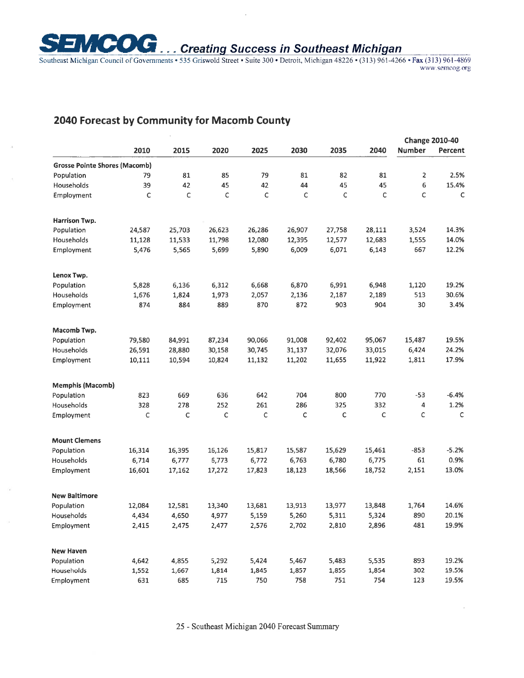

 $\square$  **COG** ... Creating Success in Southeast Michigan Southeast Michigan Council of Governments • 535 Griswold Street • Suite 300 • Detroit, Michigan 48226 • (313) 961-4266 • Fax (313) 961-4869 www.semcog.org

# **2040 Forecast by Community for Macomb County**

|                                      |        |        |        |        |        |        |              | <b>Change 2010-40</b>   |              |
|--------------------------------------|--------|--------|--------|--------|--------|--------|--------------|-------------------------|--------------|
|                                      | 2010   | 2015   | 2020   | 2025   | 2030   | 2035   | 2040         | <b>Number</b>           | Percent      |
| <b>Grosse Pointe Shores (Macomb)</b> |        |        |        |        |        |        |              |                         |              |
| Population                           | 79     | 81     | 85     | 79     | 81     | 82     | 81           | $\overline{\mathbf{c}}$ | 2.5%         |
| Households                           | 39     | 42     | 45     | 42     | 44     | 45     | 45           | 6                       | 15.4%        |
| Employment                           | C      | C      | C      | C      | C      | C      | C            | C                       | C            |
| <b>Harrison Twp.</b>                 |        |        |        |        |        |        |              |                         |              |
| Population                           | 24,587 | 25,703 | 26,623 | 26,286 | 26,907 | 27,758 | 28,111       | 3,524                   | 14.3%        |
| Households                           | 11,128 | 11,533 | 11,798 | 12,080 | 12,395 | 12,577 | 12,683       | 1,555                   | 14.0%        |
| Employment                           | 5,476  | 5,565  | 5,699  | 5,890  | 6,009  | 6,071  | 6,143        | 667                     | 12.2%        |
| Lenox Twp.                           |        |        |        |        |        |        |              |                         |              |
| Population                           | 5,828  | 6,136  | 6,312  | 6,668  | 6,870  | 6,991  | 6,948        | 1,120                   | 19.2%        |
| Households                           | 1,676  | 1,824  | 1,973  | 2,057  | 2,136  | 2,187  | 2,189        | 513                     | 30.6%        |
| Employment                           | 874    | 884    | 889    | 870    | 872    | 903    | 904          | 30                      | 3.4%         |
| Macomb Twp.                          |        |        |        |        |        |        |              |                         |              |
| Population                           | 79,580 | 84,991 | 87,234 | 90,066 | 91,008 | 92,402 | 95,067       | 15,487                  | 19.5%        |
| Households                           | 26,591 | 28,880 | 30,158 | 30,745 | 31,137 | 32,076 | 33,015       | 6,424                   | 24.2%        |
| Employment                           | 10,111 | 10,594 | 10,824 | 11,132 | 11,202 | 11,655 | 11,922       | 1,811                   | 17.9%        |
| <b>Memphis (Macomb)</b>              |        |        |        |        |        |        |              |                         |              |
| Population                           | 823    | 669    | 636    | 642    | 704    | 800    | 770          | $-53$                   | $-6.4%$      |
| Households                           | 328    | 278    | 252    | 261    | 286    | 325    | 332          | 4                       | 1.2%         |
| Employment                           | C      | Ċ      | C      | C      | C      | C      | $\mathsf{C}$ | Ċ                       | $\mathsf{C}$ |
| <b>Mount Clemens</b>                 |        |        |        |        |        |        |              |                         |              |
| Population                           | 16,314 | 16,395 | 16,126 | 15,817 | 15,587 | 15,629 | 15,461       | $-853$                  | $-5.2%$      |
| Households                           | 6,714  | 6,777  | 6,773  | 6,772  | 6,763  | 6,780  | 6,775        | 61                      | 0.9%         |
| Employment                           | 16,601 | 17,162 | 17,272 | 17,823 | 18,123 | 18,566 | 18,752       | 2,151                   | 13.0%        |
| <b>New Baltimore</b>                 |        |        |        |        |        |        |              |                         |              |
| Population                           | 12,084 | 12,581 | 13,340 | 13,681 | 13,913 | 13,977 | 13,848       | 1,764                   | 14.6%        |
| Households                           | 4,434  | 4,650  | 4,977  | 5,159  | 5,260  | 5,311  | 5,324        | 890                     | 20.1%        |
| Employment                           | 2,415  | 2,475  | 2,477  | 2,576  | 2,702  | 2,810  | 2,896        | 481                     | 19.9%        |
| <b>New Haven</b>                     |        |        |        |        |        |        |              |                         |              |
| Population                           | 4,642  | 4,855  | 5,292  | 5,424  | 5,467  | 5,483  | 5,535        | 893                     | 19.2%        |
| Households                           | 1,552  | 1,667  | 1,814  | 1,845  | 1,857  | 1,855  | 1,854        | 302                     | 19.5%        |
| Employment                           | 631    | 685    | 715    | 750    | 758    | 751    | 754          | 123                     | 19.5%        |

25 - Southeast Michigan 2040 Forecast Summary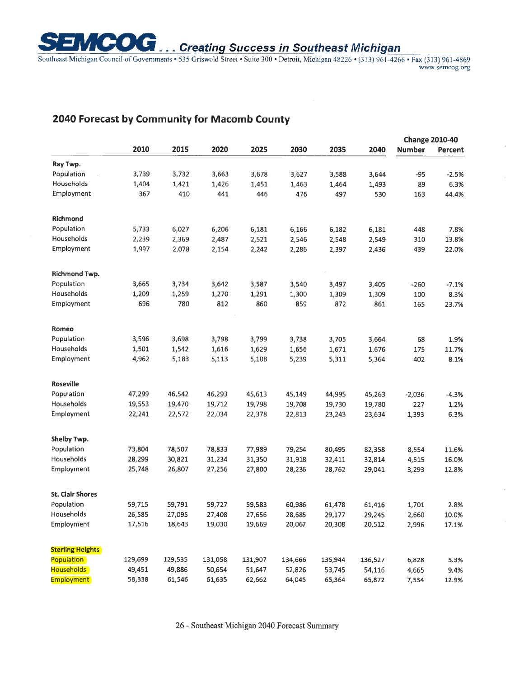**EMCOG** ... Creating Success in Southeast Michigan

Southeast Michigan Council of Governments 535 Griswold Street Suite 300 Detroit, ~Tchi~an 48226 (313) 961-4266 **Fax** (313) 961-4869

# **2040 Forecast by Community for Macomb County**

|                         |         |         |         |         |         | <b>Change 2010-40</b> |         |               |         |
|-------------------------|---------|---------|---------|---------|---------|-----------------------|---------|---------------|---------|
|                         | 2010    | 2015    | 2020    | 2025    | 2030    | 2035                  | 2040    | <b>Number</b> | Percent |
| Ray Twp.                |         |         |         |         |         |                       |         |               |         |
| Population              | 3,739   | 3,732   | 3,663   | 3,678   | 3,627   | 3,588                 | 3,644   | $-95$         | $-2.5%$ |
| Households              | 1,404   | 1,421   | 1,426   | 1,451   | 1,463   | 1,464                 | 1,493   | 89            | 6.3%    |
| Employment              | 367     | 410     | 441     | 446     | 476     | 497                   | 530     | 163           | 44.4%   |
| <b>Richmond</b>         |         |         |         |         |         |                       |         |               |         |
| Population              | 5,733   | 6,027   | 6,206   | 6,181   | 6,166   | 6,182                 | 6,181   | 448           | 7.8%    |
| Households              | 2,239   | 2,369   | 2,487   | 2,521   | 2,546   | 2,548                 | 2,549   | 310           | 13.8%   |
| Employment              | 1,997   | 2,078   | 2,154   | 2,242   | 2,286   | 2,397                 | 2,436   | 439           | 22.0%   |
| <b>Richmond Twp.</b>    |         |         |         |         |         |                       |         |               |         |
| Population              | 3,665   | 3,734   | 3,642   | 3,587   | 3,540   | 3,497                 | 3,405   | $-260$        | $-7.1%$ |
| Households              | 1,209   | 1,259   | 1,270   | 1,291   | 1,300   | 1,309                 | 1,309   | 100           | 8.3%    |
| Employment              | 696     | 780     | 812     | 860     | 859     | 872                   | 861     | 165           | 23.7%   |
| Romeo                   |         |         |         |         |         |                       |         |               |         |
| Population              | 3,596   | 3,698   | 3,798   | 3,799   | 3,738   | 3,705                 | 3,664   | 68            | 1.9%    |
| Households              | 1,501   | 1,542   | 1,616   | 1,629   | 1,656   | 1,671                 | 1,676   | 175           | 11.7%   |
| Employment              | 4,962   | 5,183   | 5,113   | 5,108   | 5,239   | 5,311                 | 5,364   | 402           | 8.1%    |
| <b>Roseville</b>        |         |         |         |         |         |                       |         |               |         |
| Population              | 47,299  | 46,542  | 46,293  | 45,613  | 45,149  | 44,995                | 45,263  | $-2,036$      | $-4.3%$ |
| Households              | 19,553  | 19,470  | 19,712  | 19,798  | 19,708  | 19,730                | 19,780  | 227           | 1.2%    |
| Employment              | 22,241  | 22,572  | 22,034  | 22,378  | 22,813  | 23,243                | 23,634  | 1,393         | 6.3%    |
| Shelby Twp.             |         |         |         |         |         |                       |         |               |         |
| Population              | 73,804  | 78,507  | 78,833  | 77,989  | 79,254  | 80,495                | 82,358  | 8,554         | 11.6%   |
| Households              | 28,299  | 30,821  | 31,234  | 31,350  | 31,918  | 32,411                | 32,814  | 4,515         | 16.0%   |
| Employment              | 25,748  | 26,807  | 27,256  | 27,800  | 28,236  | 28,762                | 29,041  | 3,293         | 12.8%   |
| <b>St. Clair Shores</b> |         |         |         |         |         |                       |         |               |         |
| Population              | 59,715  | 59,791  | 59,727  | 59,583  | 60,986  | 61,478                | 61,416  | 1,701         | 2.8%    |
| Households              | 26,585  | 27,095  | 27,408  | 27,656  | 28,685  | 29,177                | 29,245  | 2,660         | 10.0%   |
| Employment              | 17,516  | 18,643  | 19,030  | 19,669  | 20,067  | 20,308                | 20,512  | 2,996         | 17.1%   |
| <b>Sterling Heights</b> |         |         |         |         |         |                       |         |               |         |
| <b>Population</b>       | 129,699 | 129,535 | 131,058 | 131,907 | 134,666 | 135,944               | 136,527 | 6,828         | 5.3%    |
| Households              | 49,451  | 49,886  | 50,654  | 51,647  | 52,826  | 53,745                | 54,116  | 4,665         | 9.4%    |
| <b>Employment</b>       | 58,338  | 61,546  | 61,635  | 62,662  | 64,045  | 65,364                | 65,872  | 7,534         | 12.9%   |

26 - Southeast Michigan 2040 Forecast Summary